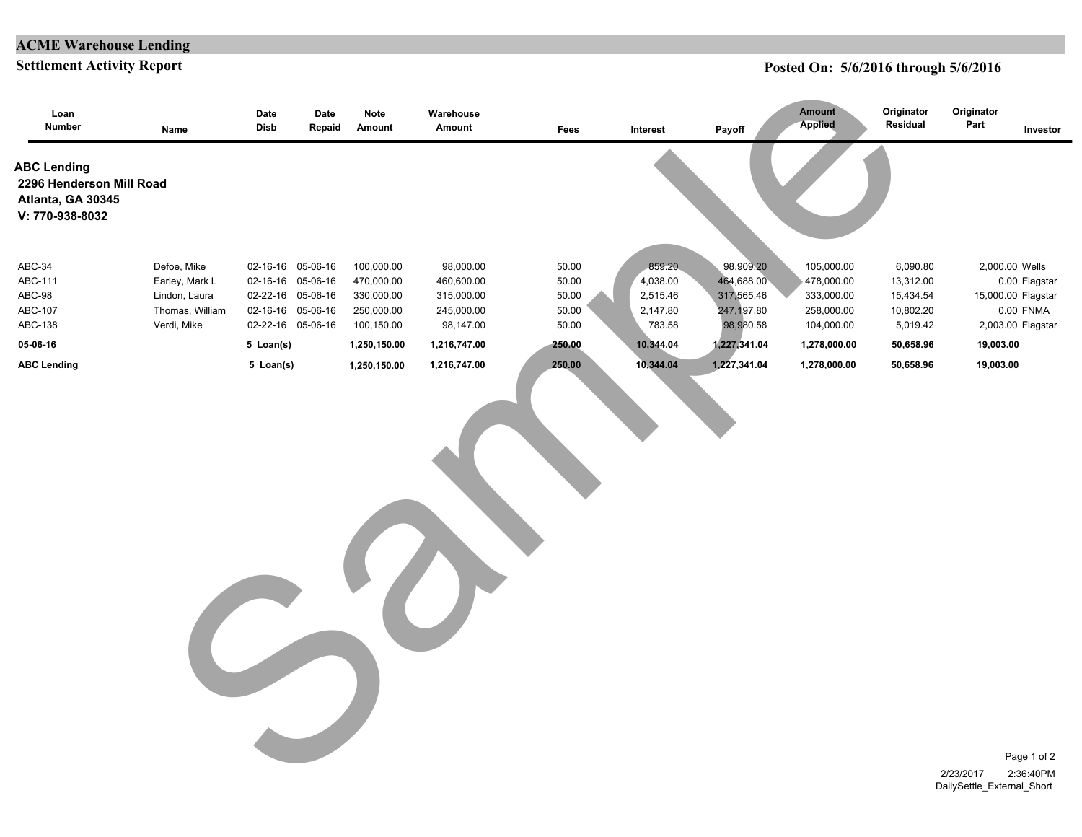### **ACME Warehouse Lending**

#### **Settlement Activity Report**

### **Posted On: 5/6/2016 through 5/6/2016**

| Loan<br>Number                                                                         | Name                                                                             | Date<br>Disb                                                                                          | Date<br>Repaid | Note<br>Amount                                                     | Warehouse<br>Amount                                              | Fees                                      | Interest                                             | Payoff                                                           | Amount<br><b>Applied</b>                                           | Originator<br>Residual                                      | Originator<br>Part                      | Investor                                                                                |
|----------------------------------------------------------------------------------------|----------------------------------------------------------------------------------|-------------------------------------------------------------------------------------------------------|----------------|--------------------------------------------------------------------|------------------------------------------------------------------|-------------------------------------------|------------------------------------------------------|------------------------------------------------------------------|--------------------------------------------------------------------|-------------------------------------------------------------|-----------------------------------------|-----------------------------------------------------------------------------------------|
| <b>ABC Lending</b><br>2296 Henderson Mill Road<br>Atlanta, GA 30345<br>V: 770-938-8032 |                                                                                  |                                                                                                       |                |                                                                    |                                                                  |                                           |                                                      |                                                                  |                                                                    |                                                             |                                         |                                                                                         |
| ABC-34<br>ABC-111<br>ABC-98<br>ABC-107<br>ABC-138                                      | Defoe, Mike<br>Earley, Mark L<br>Lindon, Laura<br>Thomas, William<br>Verdi, Mike | 02-16-16 05-06-16<br>02-16-16 05-06-16<br>02-22-16 05-06-16<br>02-16-16 05-06-16<br>02-22-16 05-06-16 |                | 100,000.00<br>470,000.00<br>330,000.00<br>250,000.00<br>100,150.00 | 98,000.00<br>460,600.00<br>315,000.00<br>245,000.00<br>98,147.00 | 50.00<br>50.00<br>50.00<br>50.00<br>50.00 | 859.20<br>4,038.00<br>2,515.46<br>2,147.80<br>783.58 | 98,909.20<br>464,688.00<br>317,565.46<br>247,197.80<br>98,980.58 | 105,000.00<br>478,000.00<br>333,000.00<br>258,000.00<br>104,000.00 | 6,090.80<br>13,312.00<br>15,434.54<br>10,802.20<br>5,019.42 |                                         | 2,000.00 Wells<br>0.00 Flagstar<br>15,000.00 Flagstar<br>0.00 FNMA<br>2,003.00 Flagstar |
| 05-06-16                                                                               |                                                                                  | 5 Loan(s)                                                                                             |                | 1,250,150.00                                                       | 1,216,747.00                                                     | 250.00                                    | 10,344.04                                            | 1,227,341.04                                                     | 1,278,000.00                                                       | 50,658.96                                                   | 19,003.00                               |                                                                                         |
|                                                                                        |                                                                                  |                                                                                                       |                |                                                                    |                                                                  |                                           |                                                      |                                                                  |                                                                    |                                                             |                                         |                                                                                         |
|                                                                                        |                                                                                  |                                                                                                       |                |                                                                    |                                                                  |                                           |                                                      |                                                                  |                                                                    |                                                             | 2/23/2017<br>DailySettle External Short | Page 1 of 2<br>2:36:40PM                                                                |